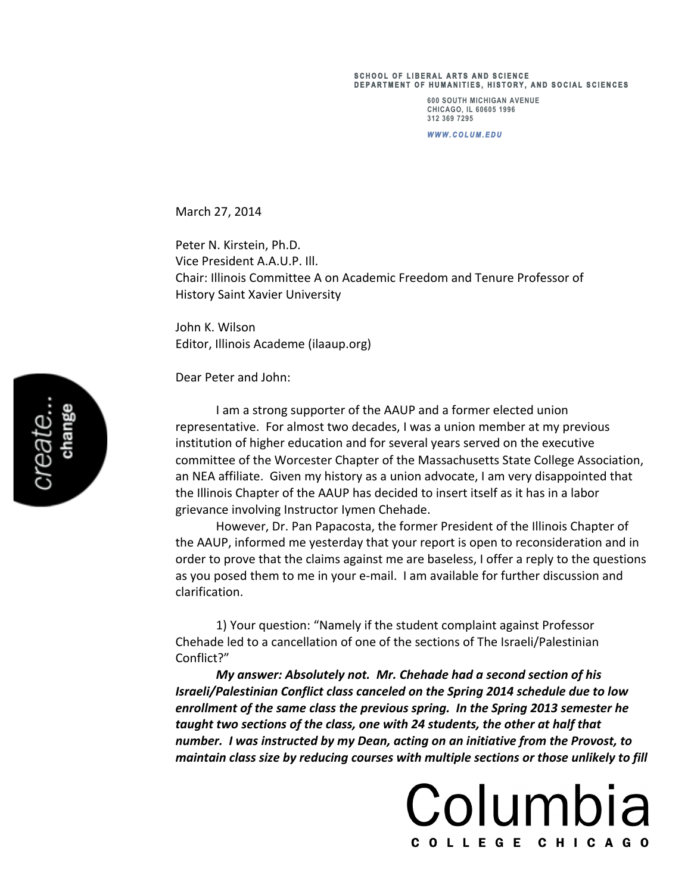## **SCHOOL OF LIBERAL ARTS AND SCIENCE DEPARTMENT OF HUMANI TIES, HISTORY, AND S OCIAL SCIENCES**

**600 SOUTH MICHIGAN AVENUE CHICAGO, IL 60605 1996 312 369 7295**

*WWW.COLUM.EDU* 

March 27, 2014

Peter N. Kirstein, Ph.D. Vice President A.A.U.P. Ill. Chair: Illinois Committee A on Academic Freedom and Tenure Professor of History Saint Xavier University

John K. Wilson Editor, Illinois Academe (ilaaup.org)

Dear Peter and John:

I am a strong supporter of the AAUP and a former elected union representative. For almost two decades, I was a union member at my previous institution of higher education and for several years served on the executive committee of the Worcester Chapter of the Massachusetts State College Association, an NEA affiliate. Given my history as a union advocate, I am very disappointed that the Illinois Chapter of the AAUP has decided to insert itself as it has in a labor grievance involving Instructor Iymen Chehade.

However, Dr. Pan Papacosta, the former President of the Illinois Chapter of the AAUP, informed me yesterday that your report is open to reconsideration and in order to prove that the claims against me are baseless, I offer a reply to the questions as you posed them to me in your e-mail. I am available for further discussion and clarification.

1) Your question: "Namely if the student complaint against Professor Chehade led to a cancellation of one of the sections of The Israeli/Palestinian Conflict?"

*My answer: Absolutely not. Mr. Chehade had a second section of his Israeli/Palestinian Conflict class canceled on the Spring 2014 schedule due to low* enrollment of the same class the previous spring. In the Spring 2013 semester he taught two sections of the class, one with 24 students, the other at half that *number.* I was instructed by my Dean, acting on an initiative from the Provost, to maintain class size by reducing courses with multiple sections or those unlikely to fill

Columbia

COLLEGE CHICAGO

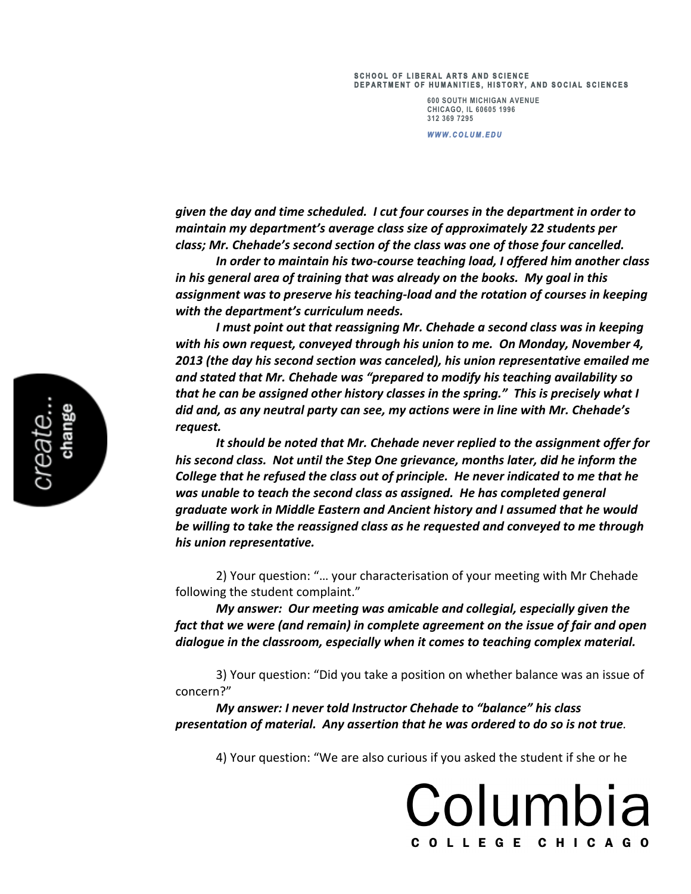## **SCHOOL OF LIBERAL ARTS AND SCIENCE DEPARTMENT OF HUMANI TIES, HISTORY, AND S OCIAL SCIENCES**

**600 SOUTH MICHIGAN AVENUE CHICAGO, IL 60605 1996 312 369 7295**

*WWW.COLUM.EDU* 

*given the day and time scheduled. I cut four courses in the department in order to maintain* my department's average class size of approximately 22 students per class; Mr. Chehade's second section of the class was one of those four cancelled.

In order to maintain his two-course teaching load, I offered him another class *in* his general area of training that was already on the books. My goal in this *assignment* was to preserve his teaching-load and the rotation of courses in keeping with the department's curriculum needs.

*I* must point out that reassigning Mr. Chehade a second class was in keeping with his own request, conveyed through his union to me. On Monday, November 4, 2013 (the day his second section was canceled), his union representative emailed me and stated that Mr. Chehade was "prepared to modify his teaching availability so *that he can be assigned other history classes in the spring."* This is precisely what I *did* and, as any neutral party can see, my actions were in line with Mr. Chehade's *request.*

It should be noted that Mr. Chehade never replied to the assignment offer for his second class. Not until the Step One grievance, months later, did he inform the *College* that he refused the class out of principle. He never indicated to me that he was unable to teach the second class as assigned. He has completed general *graduate* work in Middle Eastern and Ancient history and I assumed that he would be willing to take the reassigned class as he requested and conveyed to me through *his union representative.* 

2) Your question: "... your characterisation of your meeting with Mr Chehade following the student complaint."

*My* answer: Our meeting was amicable and collegial, especially given the *fact that we were (and remain) in complete agreement on the issue of fair and open*  dialogue in the classroom, especially when it comes to teaching complex material.

3) Your question: "Did you take a position on whether balance was an issue of concern?"

*My answer: I never told Instructor Chehade to "balance" his class presentation of material. Any assertion that he was ordered to do so is not true.*

4) Your question: "We are also curious if you asked the student if she or he

Columbia

COLLEGE CHICAGO